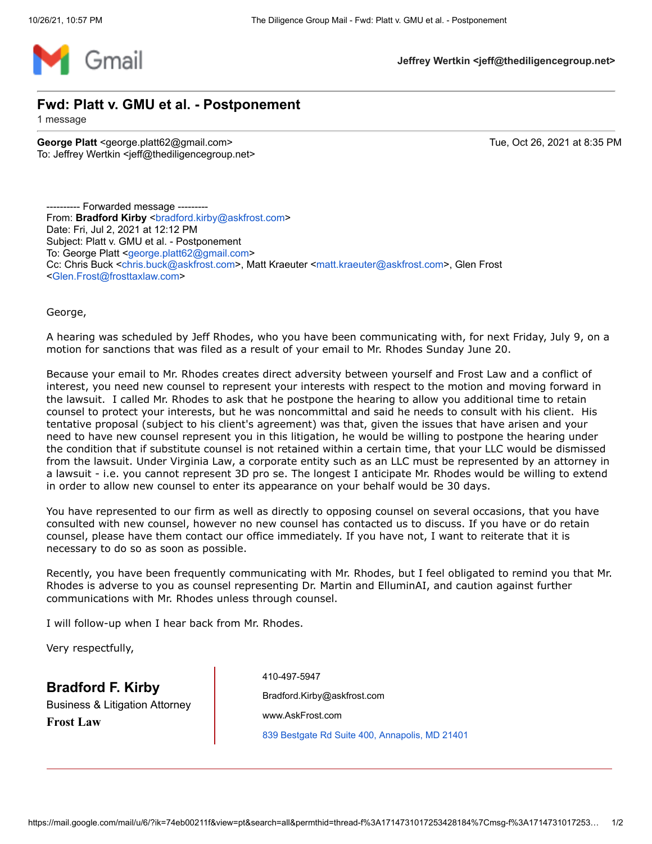

**Jeffrey Wertkin <jeff@thediligencegroup.net>**

**Fwd: Platt v. GMU et al. - Postponement**

1 message

**George Platt** <george.platt62@gmail.com> Tue, Oct 26, 2021 at 8:35 PM To: Jeffrey Wertkin <jeff@thediligencegroup.net>

---------- Forwarded message --------- From: **Bradford Kirby** <br />
standford.kirby@askfrost.com> Date: Fri, Jul 2, 2021 at 12:12 PM Subject: Platt v. GMU et al. - Postponement To: George Platt [<george.platt62@gmail.com>](mailto:george.platt62@gmail.com) Cc: Chris Buck [<chris.buck@askfrost.com>](mailto:chris.buck@askfrost.com), Matt Kraeuter [<matt.kraeuter@askfrost.com>](mailto:matt.kraeuter@askfrost.com), Glen Frost [<Glen.Frost@frosttaxlaw.com](mailto:Glen.Frost@frosttaxlaw.com)>

George,

A hearing was scheduled by Jeff Rhodes, who you have been communicating with, for next Friday, July 9, on a motion for sanctions that was filed as a result of your email to Mr. Rhodes Sunday June 20.

Because your email to Mr. Rhodes creates direct adversity between yourself and Frost Law and a conflict of interest, you need new counsel to represent your interests with respect to the motion and moving forward in the lawsuit. I called Mr. Rhodes to ask that he postpone the hearing to allow you additional time to retain counsel to protect your interests, but he was noncommittal and said he needs to consult with his client. His tentative proposal (subject to his client's agreement) was that, given the issues that have arisen and your need to have new counsel represent you in this litigation, he would be willing to postpone the hearing under the condition that if substitute counsel is not retained within a certain time, that your LLC would be dismissed from the lawsuit. Under Virginia Law, a corporate entity such as an LLC must be represented by an attorney in a lawsuit - i.e. you cannot represent 3D pro se. The longest I anticipate Mr. Rhodes would be willing to extend in order to allow new counsel to enter its appearance on your behalf would be 30 days.

You have represented to our firm as well as directly to opposing counsel on several occasions, that you have consulted with new counsel, however no new counsel has contacted us to discuss. If you have or do retain counsel, please have them contact our office immediately. If you have not, I want to reiterate that it is necessary to do so as soon as possible.

Recently, you have been frequently communicating with Mr. Rhodes, but I feel obligated to remind you that Mr. Rhodes is adverse to you as counsel representing Dr. Martin and ElluminAI, and caution against further communications with Mr. Rhodes unless through counsel.

I will follow-up when I hear back from Mr. Rhodes.

Very respectfully,

**Bradford F. Kirby**

Business & Litigation Attorney **Frost Law**

[410-497-5947](tel:410-497-5947) [Bradford.Kirby@askfrost.com](mailto:Bradford.Kirby@FrostTaxLaw.com) [www.AskFrost.com](https://www.askfrost.com/) [839 Bestgate Rd Suite 400, Annapolis, MD 21401](https://www.google.com/maps/search/839+Bestgate+Rd+Suite+400,+Annapolis,+MD+21401?entry=gmail&source=g)